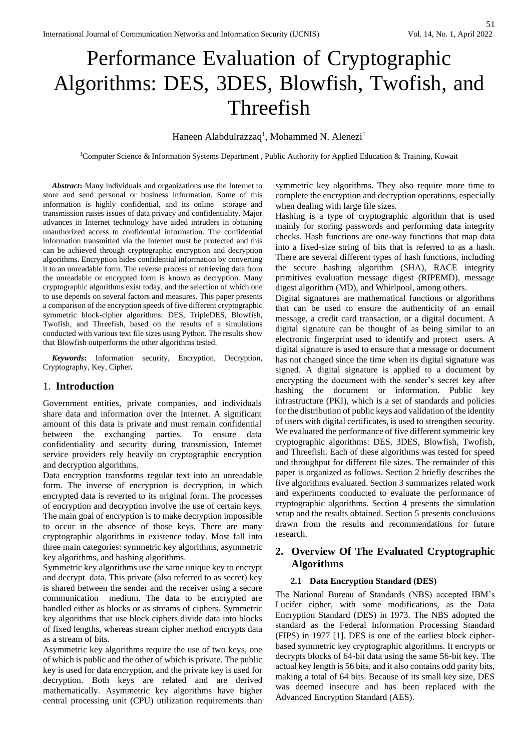# Performance Evaluation of Cryptographic Algorithms: DES, 3DES, Blowfish, Twofish, and Threefish

## Haneen Alabdulrazzaq<sup>1</sup>, Mohammed N. Alenezi<sup>1</sup>

<sup>1</sup>Computer Science & Information Systems Department , Public Authority for Applied Education & Training, Kuwait

*Abstract***:** Many individuals and organizations use the Internet to store and send personal or business information. Some of this information is highly confidential, and its online storage and transmission raises issues of data privacy and confidentiality. Major advances in Internet technology have aided intruders in obtaining unauthorized access to confidential information. The confidential information transmitted via the Internet must be protected and this can be achieved through cryptographic encryption and decryption algorithms. Encryption hides confidential information by converting it to an unreadable form. The reverse process of retrieving data from the unreadable or encrypted form is known as decryption. Many cryptographic algorithms exist today, and the selection of which one to use depends on several factors and measures. This paper presents a comparison of the encryption speeds of five different cryptographic symmetric block-cipher algorithms: DES, TripleDES, Blowfish, Twofish, and Threefish, based on the results of a simulations conducted with various text file sizes using Python. The results show that Blowfish outperforms the other algorithms tested.

*Keywords***:** Information security, Encryption, Decryption, Cryptography, Key, Cipher**.** 

#### 1. **Introduction**

Government entities, private companies, and individuals share data and information over the Internet. A significant amount of this data is private and must remain confidential between the exchanging parties. To ensure data confidentiality and security during transmission, Internet service providers rely heavily on cryptographic encryption and decryption algorithms.

Data encryption transforms regular text into an unreadable form. The inverse of encryption is decryption, in which encrypted data is reverted to its original form. The processes of encryption and decryption involve the use of certain keys. The main goal of encryption is to make decryption impossible to occur in the absence of those keys. There are many cryptographic algorithms in existence today. Most fall into three main categories: symmetric key algorithms, asymmetric key algorithms, and hashing algorithms.

Symmetric key algorithms use the same unique key to encrypt and decrypt data. This private (also referred to as secret) key is shared between the sender and the receiver using a secure communication medium. The data to be encrypted are handled either as blocks or as streams of ciphers. Symmetric key algorithms that use block ciphers divide data into blocks of fixed lengths, whereas stream cipher method encrypts data as a stream of bits.

Asymmetric key algorithms require the use of two keys, one of which is public and the other of which is private. The public key is used for data encryption, and the private key is used for decryption. Both keys are related and are derived mathematically. Asymmetric key algorithms have higher central processing unit (CPU) utilization requirements than

symmetric key algorithms. They also require more time to complete the encryption and decryption operations, especially when dealing with large file sizes.

Hashing is a type of cryptographic algorithm that is used mainly for storing passwords and performing data integrity checks. Hash functions are one-way functions that map data into a fixed-size string of bits that is referred to as a hash. There are several different types of hash functions, including the secure hashing algorithm (SHA), RACE integrity primitives evaluation message digest (RIPEMD), message digest algorithm (MD), and Whirlpool, among others.

Digital signatures are mathematical functions or algorithms that can be used to ensure the authenticity of an email message, a credit card transaction, or a digital document. A digital signature can be thought of as being similar to an electronic fingerprint used to identify and protect users. A digital signature is used to ensure that a message or document has not changed since the time when its digital signature was signed. A digital signature is applied to a document by encrypting the document with the sender's secret key after hashing the document or information. Public key infrastructure (PKI), which is a set of standards and policies for the distribution of public keys and validation of the identity of users with digital certificates, is used to strengthen security. We evaluated the performance of five different symmetric key cryptographic algorithms: DES, 3DES, Blowfish, Twofish, and Threefish. Each of these algorithms was tested for speed and throughput for different file sizes. The remainder of this paper is organized as follows. Section 2 briefly describes the five algorithms evaluated. Section 3 summarizes related work and experiments conducted to evaluate the performance of cryptographic algorithms. Section 4 presents the simulation setup and the results obtained. Section 5 presents conclusions drawn from the results and recommendations for future research.

# **2. Overview Of The Evaluated Cryptographic Algorithms**

#### **2.1 Data Encryption Standard (DES)**

The National Bureau of Standards (NBS) accepted IBM's Lucifer cipher, with some modifications, as the Data Encryption Standard (DES) in 1973. The NBS adopted the standard as the Federal Information Processing Standard (FIPS) in 1977 [1]. DES is one of the earliest block cipherbased symmetric key cryptographic algorithms. It encrypts or decrypts blocks of 64-bit data using the same 56-bit key. The actual key length is 56 bits, and it also contains odd parity bits, making a total of 64 bits. Because of its small key size, DES was deemed insecure and has been replaced with the Advanced Encryption Standard (AES).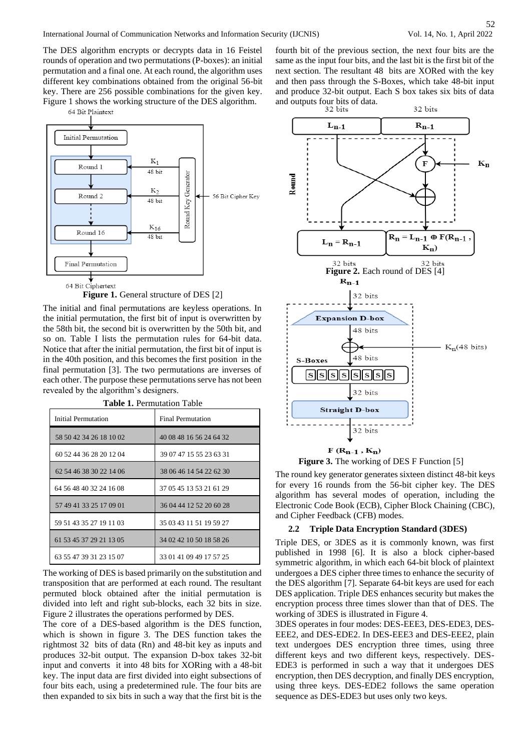52

The DES algorithm encrypts or decrypts data in 16 Feistel rounds of operation and two permutations (P-boxes): an initial permutation and a final one. At each round, the algorithm uses different key combinations obtained from the original 56-bit key. There are 256 possible combinations for the given key. Figure 1 shows the working structure of the DES algorithm.



**Figure 1.** General structure of DES [\[2\]](https://docs.google.com/document/d/14tj-UuDWYA8x6Q7LU6zaBB_e9k5yqx-t/edit#heading=h.4f1mdlm)

The initial and final permutations are keyless operations. In the initial permutation, the first bit of input is overwritten by the 58th bit, the second bit is overwritten by the 50th bit, and so on. Table I lists the permutation rules for 64-bit data. Notice that after the initial permutation, the first bit of input is in the 40th position, and this becomes the first position in the final permutation [3]. The two permutations are inverses of each other. The purpose these permutations serve has not been revealed by the algorithm's designers.

| Initial Permutation     | <b>Final Permutation</b> |  |  |
|-------------------------|--------------------------|--|--|
| 58 50 42 34 26 18 10 02 | 40 08 48 16 56 24 64 32  |  |  |
| 60 52 44 36 28 20 12 04 | 39 07 47 15 55 23 63 31  |  |  |
| 62 54 46 38 30 22 14 06 | 38 06 46 14 54 22 62 30  |  |  |
| 64 56 48 40 32 24 16 08 | 37 05 45 13 53 21 61 29  |  |  |
| 57 49 41 33 25 17 09 01 | 36 04 44 12 52 20 60 28  |  |  |
| 59 51 43 35 27 19 11 03 | 35 03 43 11 51 19 59 27  |  |  |
| 61 53 45 37 29 21 13 05 | 34 02 42 10 50 18 58 26  |  |  |
| 63 55 47 39 31 23 15 07 | 33 01 41 09 49 17 57 25  |  |  |

**Table 1.** Permutation Table

The working of DES is based primarily on the substitution and transposition that are performed at each round. The resultant permuted block obtained after the initial permutation is divided into left and right sub-blocks, each 32 bits in size. Figure 2 illustrates the operations performed by DES.

The core of a DES-based algorithm is the DES function, which is shown in figure 3. The DES function takes the rightmost 32 bits of data (Rn) and 48-bit key as inputs and produces 32-bit output. The expansion D-box takes 32-bit input and converts it into 48 bits for XORing with a 48-bit key. The input data are first divided into eight subsections of four bits each, using a predetermined rule. The four bits are then expanded to six bits in such a way that the first bit is the

fourth bit of the previous section, the next four bits are the same as the input four bits, and the last bit is the first bit of the next section. The resultant 48 bits are XORed with the key and then pass through the S-Boxes, which take 48-bit input and produce 32-bit output. Each S box takes six bits of data and outputs four bits of data.<br>32 bits



**Figure 3.** The working of DES F Function [5]

The round key generator generates sixteen distinct 48-bit keys for every 16 rounds from the 56-bit cipher key. The DES algorithm has several modes of operation, including the Electronic Code Book (ECB), Cipher Block Chaining (CBC), and Cipher Feedback (CFB) modes.

#### **2.2 Triple Data Encryption Standard (3DES)**

Triple DES, or 3DES as it is commonly known, was first published in 1998 [6]. It is also a block cipher-based symmetric algorithm, in which each 64-bit block of plaintext undergoes a DES cipher three times to enhance the security of the DES algorithm [7]. Separate 64-bit keys are used for each DES application. Triple DES enhances security but makes the encryption process three times slower than that of DES. The working of 3DES is illustrated in Figure 4.

3DES operates in four modes: DES-EEE3, DES-EDE3, DES-EEE2, and DES-EDE2. In DES-EEE3 and DES-EEE2, plain text undergoes DES encryption three times, using three different keys and two different keys, respectively. DES-EDE3 is performed in such a way that it undergoes DES encryption, then DES decryption, and finally DES encryption, using three keys. DES-EDE2 follows the same operation sequence as DES-EDE3 but uses only two keys.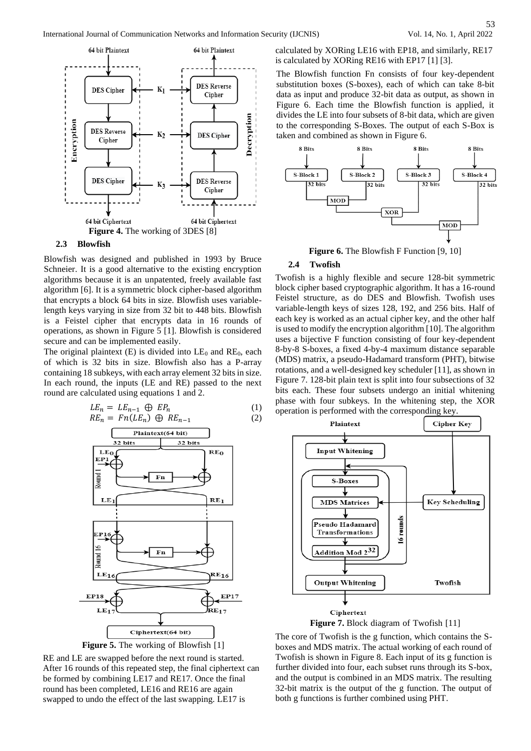



#### **2.3 Blowfish**

Blowfish was designed and published in 1993 by Bruce Schneier. It is a good alternative to the existing encryption algorithms because it is an unpatented, freely available fast algorithm [6]. It is a symmetric block cipher-based algorithm that encrypts a block 64 bits in size. Blowfish uses variablelength keys varying in size from 32 bit to 448 bits. Blowfish is a Feistel cipher that encrypts data in 16 rounds of operations, as shown in Figure 5 [1]. Blowfish is considered secure and can be implemented easily.

The original plaintext  $(E)$  is divided into  $LE_0$  and  $RE_0$ , each of which is 32 bits in size. Blowfish also has a P-array containing 18 subkeys, with each array element 32 bits in size. In each round, the inputs (LE and RE) passed to the next round are calculated using equations 1 and 2.

$$
LE_n = LE_{n-1} \oplus EP_n
$$
  
\n
$$
RE_n = Fn(LE_n) \oplus RE_{n-1}
$$
\n(1)  
\n(2)



**Figure 5.** The working of Blowfish [1]

RE and LE are swapped before the next round is started. After 16 rounds of this repeated step, the final ciphertext can be formed by combining LE17 and RE17. Once the final round has been completed, LE16 and RE16 are again swapped to undo the effect of the last swapping. LE17 is

calculated by XORing LE16 with EP18, and similarly, RE17 is calculated by XORing RE16 with EP17 [1] [3].

The Blowfish function Fn consists of four key-dependent substitution boxes (S-boxes), each of which can take 8-bit data as input and produce 32-bit data as output, as shown in Figure 6. Each time the Blowfish function is applied, it divides the LE into four subsets of 8-bit data, which are given to the corresponding S-Boxes. The output of each S-Box is taken and combined as shown in Figure 6.



**Figure 6.** The Blowfish F Function [9, 10]

#### **2.4 Twofish**

Twofish is a highly flexible and secure 128-bit symmetric block cipher based cryptographic algorithm. It has a 16-round Feistel structure, as do DES and Blowfish. Twofish uses variable-length keys of sizes 128, 192, and 256 bits. Half of each key is worked as an actual cipher key, and the other half is used to modify the encryption algorithm [10]. The algorithm uses a bijective F function consisting of four key-dependent 8-by-8 S-boxes, a fixed 4-by-4 maximum distance separable (MDS) matrix, a pseudo-Hadamard transform (PHT), bitwise rotations, and a well-designed key scheduler [11], as shown in Figure 7. 128-bit plain text is split into four subsections of 32 bits each. These four subsets undergo an initial whitening phase with four subkeys. In the whitening step, the XOR operation is performed with the corresponding key.



**Figure 7.** Block diagram of Twofish [11]

The core of Twofish is the g function, which contains the Sboxes and MDS matrix. The actual working of each round of Twofish is shown in Figure 8. Each input of its g function is further divided into four, each subset runs through its S-box, and the output is combined in an MDS matrix. The resulting 32-bit matrix is the output of the g function. The output of both g functions is further combined using PHT.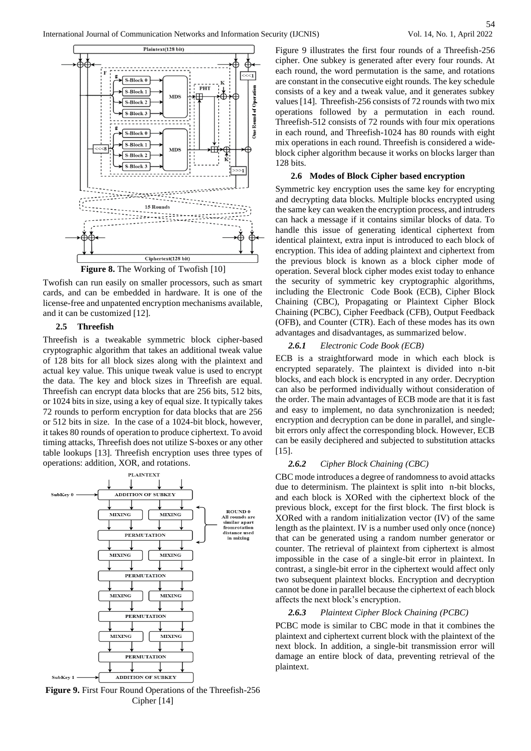

**Figure 8.** The Working of Twofish [10]

Twofish can run easily on smaller processors, such as smart cards, and can be embedded in hardware. It is one of the license-free and unpatented encryption mechanisms available, and it can be customized [12].

#### **2.5 Threefish**

Threefish is a tweakable symmetric block cipher-based cryptographic algorithm that takes an additional tweak value of 128 bits for all block sizes along with the plaintext and actual key value. This unique tweak value is used to encrypt the data. The key and block sizes in Threefish are equal. Threefish can encrypt data blocks that are 256 bits, 512 bits, or 1024 bits in size, using a key of equal size. It typically takes 72 rounds to perform encryption for data blocks that are 256 or 512 bits in size. In the case of a 1024-bit block, however, it takes 80 rounds of operation to produce ciphertext. To avoid timing attacks, Threefish does not utilize S-boxes or any other table lookups [13]. Threefish encryption uses three types of operations: addition, XOR, and rotations.



**Figure 9.** First Four Round Operations of the Threefish-256 Cipher [14]

Figure 9 illustrates the first four rounds of a Threefish-256 cipher. One subkey is generated after every four rounds. At each round, the word permutation is the same, and rotations are constant in the consecutive eight rounds. The key schedule consists of a key and a tweak value, and it generates subkey values [14]. Threefish-256 consists of 72 rounds with two mix operations followed by a permutation in each round. Threefish-512 consists of 72 rounds with four mix operations in each round, and Threefish-1024 has 80 rounds with eight mix operations in each round. Threefish is considered a wideblock cipher algorithm because it works on blocks larger than 128 bits.

#### **2.6 Modes of Block Cipher based encryption**

Symmetric key encryption uses the same key for encrypting and decrypting data blocks. Multiple blocks encrypted using the same key can weaken the encryption process, and intruders can hack a message if it contains similar blocks of data. To handle this issue of generating identical ciphertext from identical plaintext, extra input is introduced to each block of encryption. This idea of adding plaintext and ciphertext from the previous block is known as a block cipher mode of operation. Several block cipher modes exist today to enhance the security of symmetric key cryptographic algorithms, including the Electronic Code Book (ECB), Cipher Block Chaining (CBC), Propagating or Plaintext Cipher Block Chaining (PCBC), Cipher Feedback (CFB), Output Feedback (OFB), and Counter (CTR). Each of these modes has its own advantages and disadvantages, as summarized below.

#### *2.6.1 Electronic Code Book (ECB)*

ECB is a straightforward mode in which each block is encrypted separately. The plaintext is divided into n-bit blocks, and each block is encrypted in any order. Decryption can also be performed individually without consideration of the order. The main advantages of ECB mode are that it is fast and easy to implement, no data synchronization is needed; encryption and decryption can be done in parallel, and singlebit errors only affect the corresponding block. However, ECB can be easily deciphered and subjected to substitution attacks [15].

#### *2.6.2 Cipher Block Chaining (CBC)*

CBC mode introduces a degree of randomness to avoid attacks due to determinism. The plaintext is split into n-bit blocks, and each block is XORed with the ciphertext block of the previous block, except for the first block. The first block is XORed with a random initialization vector (IV) of the same length as the plaintext. IV is a number used only once (nonce) that can be generated using a random number generator or counter. The retrieval of plaintext from ciphertext is almost impossible in the case of a single-bit error in plaintext. In contrast, a single-bit error in the ciphertext would affect only two subsequent plaintext blocks. Encryption and decryption cannot be done in parallel because the ciphertext of each block affects the next block's encryption.

#### *2.6.3 Plaintext Cipher Block Chaining (PCBC)*

PCBC mode is similar to CBC mode in that it combines the plaintext and ciphertext current block with the plaintext of the next block. In addition, a single-bit transmission error will damage an entire block of data, preventing retrieval of the plaintext.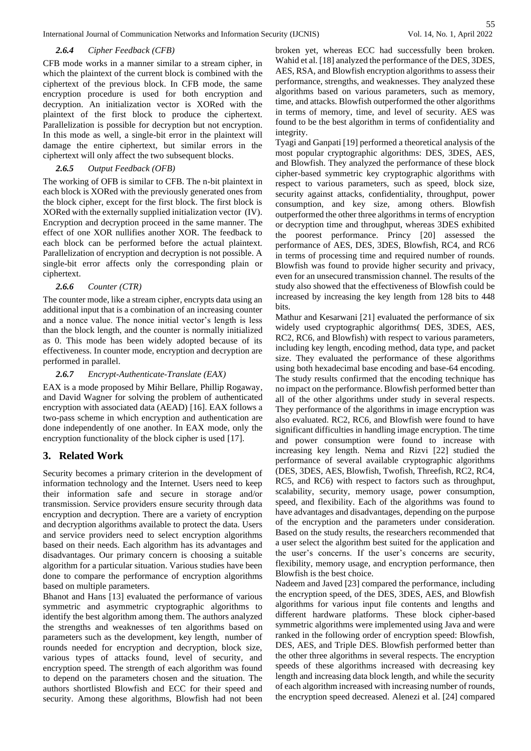International Journal of Communication Networks and Information Security (IJCNIS) Vol. 14, No. 1, April 2022

## *2.6.4 Cipher Feedback (CFB)*

CFB mode works in a manner similar to a stream cipher, in which the plaintext of the current block is combined with the ciphertext of the previous block. In CFB mode, the same encryption procedure is used for both encryption and decryption. An initialization vector is XORed with the plaintext of the first block to produce the ciphertext. Parallelization is possible for decryption but not encryption. In this mode as well, a single-bit error in the plaintext will damage the entire ciphertext, but similar errors in the ciphertext will only affect the two subsequent blocks.

## *2.6.5 Output Feedback (OFB)*

The working of OFB is similar to CFB. The n-bit plaintext in each block is XORed with the previously generated ones from the block cipher, except for the first block. The first block is XORed with the externally supplied initialization vector (IV). Encryption and decryption proceed in the same manner. The effect of one XOR nullifies another XOR. The feedback to each block can be performed before the actual plaintext. Parallelization of encryption and decryption is not possible. A single-bit error affects only the corresponding plain or ciphertext.

## *2.6.6 Counter (CTR)*

The counter mode, like a stream cipher, encrypts data using an additional input that is a combination of an increasing counter and a nonce value. The nonce initial vector's length is less than the block length, and the counter is normally initialized as 0. This mode has been widely adopted because of its effectiveness. In counter mode, encryption and decryption are performed in parallel.

## *2.6.7 Encrypt-Authenticate-Translate (EAX)*

EAX is a mode proposed by Mihir Bellare, Phillip Rogaway, and David Wagner for solving the problem of authenticated encryption with associated data (AEAD) [16]. EAX follows a two-pass scheme in which encryption and authentication are done independently of one another. In EAX mode, only the encryption functionality of the block cipher is used [17].

# **3. Related Work**

Security becomes a primary criterion in the development of information technology and the Internet. Users need to keep their information safe and secure in storage and/or transmission. Service providers ensure security through data encryption and decryption. There are a variety of encryption and decryption algorithms available to protect the data. Users and service providers need to select encryption algorithms based on their needs. Each algorithm has its advantages and disadvantages. Our primary concern is choosing a suitable algorithm for a particular situation. Various studies have been done to compare the performance of encryption algorithms based on multiple parameters.

Bhanot and Hans [13] evaluated the performance of various symmetric and asymmetric cryptographic algorithms to identify the best algorithm among them. The authors analyzed the strengths and weaknesses of ten algorithms based on parameters such as the development, key length, number of rounds needed for encryption and decryption, block size, various types of attacks found, level of security, and encryption speed. The strength of each algorithm was found to depend on the parameters chosen and the situation. The authors shortlisted Blowfish and ECC for their speed and security. Among these algorithms, Blowfish had not been broken yet, whereas ECC had successfully been broken. Wahid et al. [18] analyzed the performance of the DES, 3DES, AES, RSA, and Blowfish encryption algorithms to assess their performance, strengths, and weaknesses. They analyzed these algorithms based on various parameters, such as memory, time, and attacks. Blowfish outperformed the other algorithms in terms of memory, time, and level of security. AES was found to be the best algorithm in terms of confidentiality and integrity.

Tyagi and Ganpati [19] performed a theoretical analysis of the most popular cryptographic algorithms: DES, 3DES, AES, and Blowfish. They analyzed the performance of these block cipher-based symmetric key cryptographic algorithms with respect to various parameters, such as speed, block size, security against attacks, confidentiality, throughput, power consumption, and key size, among others. Blowfish outperformed the other three algorithms in terms of encryption or decryption time and throughput, whereas 3DES exhibited the poorest performance. Princy [20] assessed the performance of AES, DES, 3DES, Blowfish, RC4, and RC6 in terms of processing time and required number of rounds. Blowfish was found to provide higher security and privacy, even for an unsecured transmission channel. The results of the study also showed that the effectiveness of Blowfish could be increased by increasing the key length from 128 bits to 448 bits.

Mathur and Kesarwani [21] evaluated the performance of six widely used cryptographic algorithms( DES, 3DES, AES, RC2, RC6, and Blowfish) with respect to various parameters, including key length, encoding method, data type, and packet size. They evaluated the performance of these algorithms using both hexadecimal base encoding and base-64 encoding. The study results confirmed that the encoding technique has no impact on the performance. Blowfish performed better than all of the other algorithms under study in several respects. They performance of the algorithms in image encryption was also evaluated. RC2, RC6, and Blowfish were found to have significant difficulties in handling image encryption. The time and power consumption were found to increase with increasing key length. Nema and Rizvi [22] studied the performance of several available cryptographic algorithms (DES, 3DES, AES, Blowfish, Twofish, Threefish, RC2, RC4, RC5, and RC6) with respect to factors such as throughput, scalability, security, memory usage, power consumption, speed, and flexibility. Each of the algorithms was found to have advantages and disadvantages, depending on the purpose of the encryption and the parameters under consideration. Based on the study results, the researchers recommended that a user select the algorithm best suited for the application and the user's concerns. If the user's concerns are security, flexibility, memory usage, and encryption performance, then Blowfish is the best choice.

Nadeem and Javed [23] compared the performance, including the encryption speed, of the DES, 3DES, AES, and Blowfish algorithms for various input file contents and lengths and different hardware platforms. These block cipher-based symmetric algorithms were implemented using Java and were ranked in the following order of encryption speed: Blowfish, DES, AES, and Triple DES. Blowfish performed better than the other three algorithms in several respects. The encryption speeds of these algorithms increased with decreasing key length and increasing data block length, and while the security of each algorithm increased with increasing number of rounds, the encryption speed decreased. Alenezi et al. [24] compared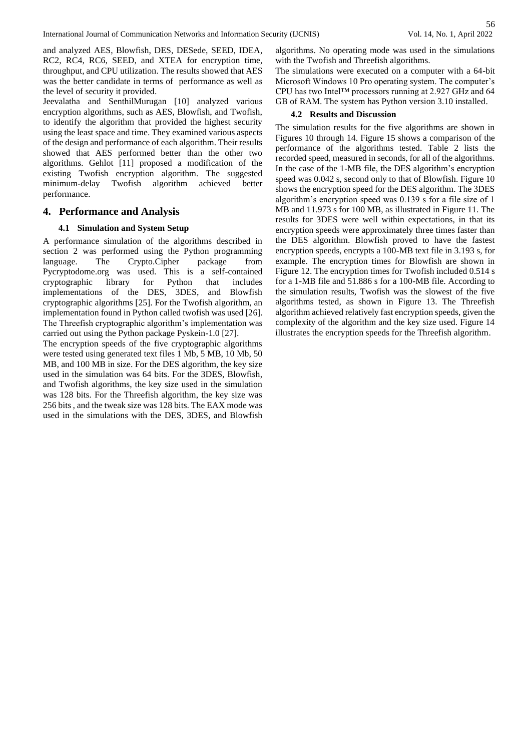and analyzed AES, Blowfish, DES, DESede, SEED, IDEA, RC2, RC4, RC6, SEED, and XTEA for encryption time, throughput, and CPU utilization. The results showed that AES was the better candidate in terms of performance as well as the level of security it provided.

Jeevalatha and SenthilMurugan [10] analyzed various encryption algorithms, such as AES, Blowfish, and Twofish, to identify the algorithm that provided the highest security using the least space and time. They examined various aspects of the design and performance of each algorithm. Their results showed that AES performed better than the other two algorithms. Gehlot [11] proposed a modification of the existing Twofish encryption algorithm. The suggested minimum-delay Twofish algorithm achieved better performance.

## **4. Performance and Analysis**

#### **4.1 Simulation and System Setup**

A performance simulation of the algorithms described in section 2 was performed using the Python programming language. The Crypto.Cipher package from Pycryptodome.org was used. This is a self-contained cryptographic library for Python that includes implementations of the DES, 3DES, and Blowfish cryptographic algorithms [25]. For the Twofish algorithm, an implementation found in Python called twofish was used [26]. The Threefish cryptographic algorithm's implementation was carried out using the Python package Pyskein-1.0 [27].

The encryption speeds of the five cryptographic algorithms were tested using generated text files 1 Mb, 5 MB, 10 Mb, 50 MB, and 100 MB in size. For the DES algorithm, the key size used in the simulation was 64 bits. For the 3DES, Blowfish, and Twofish algorithms, the key size used in the simulation was 128 bits. For the Threefish algorithm, the key size was 256 bits , and the tweak size was 128 bits. The EAX mode was used in the simulations with the DES, 3DES, and Blowfish algorithms. No operating mode was used in the simulations with the Twofish and Threefish algorithms.

The simulations were executed on a computer with a 64-bit Microsoft Windows 10 Pro operating system. The computer's CPU has two Intel™ processors running at 2.927 GHz and 64 GB of RAM. The system has Python version 3.10 installed.

#### **4.2 Results and Discussion**

The simulation results for the five algorithms are shown in Figures 10 through 14. Figure 15 shows a comparison of the performance of the algorithms tested. Table 2 lists the recorded speed, measured in seconds, for all of the algorithms. In the case of the 1-MB file, the DES algorithm's encryption speed was 0.042 s, second only to that of Blowfish. Figure 10 shows the encryption speed for the DES algorithm. The 3DES algorithm's encryption speed was 0.139 s for a file size of 1 MB and 11.973 s for 100 MB, as illustrated in Figure 11. The results for 3DES were well within expectations, in that its encryption speeds were approximately three times faster than the DES algorithm. Blowfish proved to have the fastest encryption speeds, encrypts a 100-MB text file in 3.193 s, for example. The encryption times for Blowfish are shown in Figure 12. The encryption times for Twofish included 0.514 s for a 1-MB file and 51.886 s for a 100-MB file. According to the simulation results, Twofish was the slowest of the five algorithms tested, as shown in Figure 13. The Threefish algorithm achieved relatively fast encryption speeds, given the complexity of the algorithm and the key size used. Figure 14 illustrates the encryption speeds for the Threefish algorithm.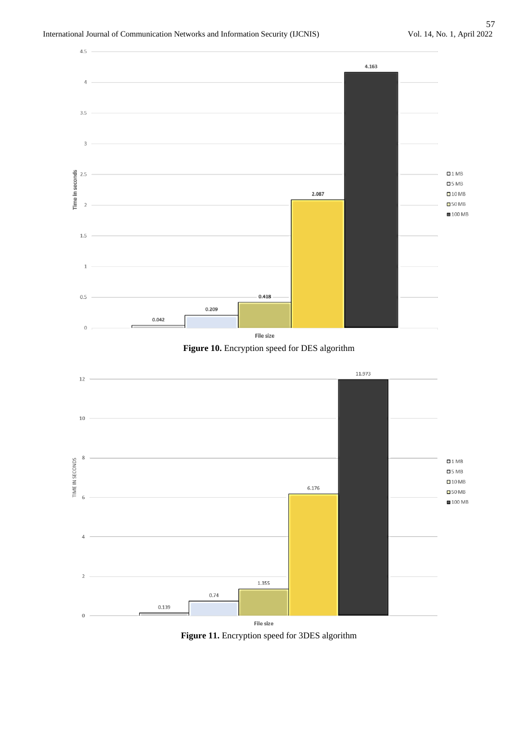





**Figure 11.** Encryption speed for 3DES algorithm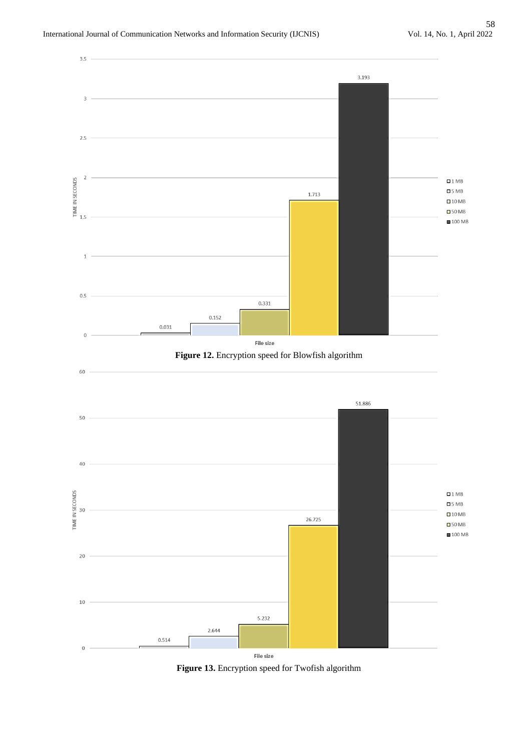

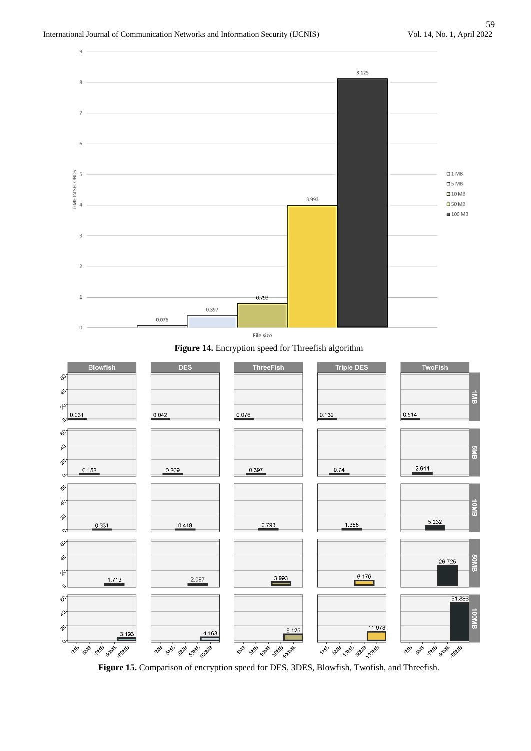





**Figure 15.** Comparison of encryption speed for DES, 3DES, Blowfish, Twofish, and Threefish.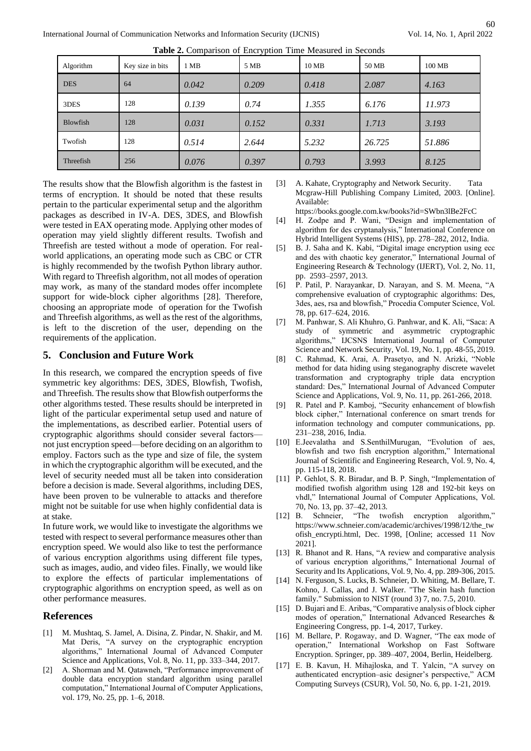| Algorithm  | Key size in bits | 1 MB  | 5 MB  | 10MB  | 50 MB  | 100 MB |
|------------|------------------|-------|-------|-------|--------|--------|
| <b>DES</b> | 64               | 0.042 | 0.209 | 0.418 | 2.087  | 4.163  |
| 3DES       | 128              | 0.139 | 0.74  | 1.355 | 6.176  | 11.973 |
| Blowfish   | 128              | 0.031 | 0.152 | 0.331 | 1.713  | 3.193  |
| Twofish    | 128              | 0.514 | 2.644 | 5.232 | 26.725 | 51.886 |
| Threefish  | 256              | 0.076 | 0.397 | 0.793 | 3.993  | 8.125  |

**Table 2.** Comparison of Encryption Time Measured in Seconds

The results show that the Blowfish algorithm is the fastest in terms of encryption. It should be noted that these results pertain to the particular experimental setup and the algorithm packages as described in IV-A. DES, 3DES, and Blowfish were tested in EAX operating mode. Applying other modes of operation may yield slightly different results. Twofish and Threefish are tested without a mode of operation. For realworld applications, an operating mode such as CBC or CTR is highly recommended by the twofish Python library author. With regard to Threefish algorithm, not all modes of operation may work, as many of the standard modes offer incomplete support for wide-block cipher algorithms [28]. Therefore, choosing an appropriate mode of operation for the Twofish and Threefish algorithms, as well as the rest of the algorithms, is left to the discretion of the user, depending on the requirements of the application.

# **5. Conclusion and Future Work**

In this research, we compared the encryption speeds of five symmetric key algorithms: DES, 3DES, Blowfish, Twofish, and Threefish. The results show that Blowfish outperforms the other algorithms tested. These results should be interpreted in light of the particular experimental setup used and nature of the implementations, as described earlier. Potential users of cryptographic algorithms should consider several factors not just encryption speed—before deciding on an algorithm to employ. Factors such as the type and size of file, the system in which the cryptographic algorithm will be executed, and the level of security needed must all be taken into consideration before a decision is made. Several algorithms, including DES, have been proven to be vulnerable to attacks and therefore might not be suitable for use when highly confidential data is at stake.

In future work, we would like to investigate the algorithms we tested with respect to several performance measures other than encryption speed. We would also like to test the performance of various encryption algorithms using different file types, such as images, audio, and video files. Finally, we would like to explore the effects of particular implementations of cryptographic algorithms on encryption speed, as well as on other performance measures.

# **References**

- [1] M. Mushtaq, S. Jamel, A. Disina, Z. Pindar, N. Shakir, and M. Mat Deris, "A survey on the cryptographic encryption algorithms," International Journal of Advanced Computer Science and Applications, Vol. 8, No. 11, pp. 333–344, 2017.
- [2] A. Shorman and M. Qatawneh, "Performance improvement of double data encryption standard algorithm using parallel computation," International Journal of Computer Applications, vol. 179, No. 25, pp. 1–6, 2018.

[3] A. Kahate, Cryptography and Network Security. Tata Mcgraw-Hill Publishing Company Limited, 2003. [Online]. Available:

https://books.google.com.kw/books?id=SWbn3lBe2FcC

- [4] H. Zodpe and P. Wani, "Design and implementation of algorithm for des cryptanalysis," International Conference on Hybrid Intelligent Systems (HIS), pp. 278–282, 2012, India.
- [5] B. J. Saha and K. Kabi, "Digital image encryption using ecc and des with chaotic key generator," International Journal of Engineering Research & Technology (IJERT), Vol. 2, No. 11, pp. 2593–2597, 2013.
- [6] P. Patil, P. Narayankar, D. Narayan, and S. M. Meena, "A comprehensive evaluation of cryptographic algorithms: Des, 3des, aes, rsa and blowfish," Procedia Computer Science, Vol. 78, pp. 617–624, 2016.
- [7] M. Panhwar, S. Ali Khuhro, G. Panhwar, and K. Ali, "Saca: A study of symmetric and asymmetric cryptographic algorithms," IJCSNS International Journal of Computer Science and Network Security, Vol. 19, No. 1, pp. 48-55, 2019.
- [8] C. Rahmad, K. Arai, A. Prasetyo, and N. Arizki, "Noble method for data hiding using steganography discrete wavelet transformation and cryptography triple data encryption standard: Des," International Journal of Advanced Computer Science and Applications, Vol. 9, No. 11, pp. 261-266, 2018.
- [9] R. Patel and P. Kamboj, "Security enhancement of blowfish block cipher," International conference on smart trends for information technology and computer communications, pp. 231–238, 2016, India.
- [10] E.Jeevalatha and S.SenthilMurugan, "Evolution of aes, blowfish and two fish encryption algorithm," International Journal of Scientific and Engineering Research, Vol. 9, No. 4, pp. 115-118, 2018.
- [11] P. Gehlot, S. R. Biradar, and B. P. Singh, "Implementation of modified twofish algorithm using 128 and 192-bit keys on vhdl," International Journal of Computer Applications, Vol. 70, No. 13, pp. 37–42, 2013.
- [12] B. Schneier, "The twofish encryption algorithm," https://www.schneier.com/academic/archives/1998/12/the\_tw ofish\_encrypti.html, Dec. 1998, [Online; accessed 11 Nov 2021].
- [13] R. Bhanot and R. Hans, "A review and comparative analysis of various encryption algorithms," International Journal of Security and Its Applications, Vol. 9, No. 4, pp. 289-306, 2015.
- [14] N. Ferguson, S. Lucks, B. Schneier, D. Whiting, M. Bellare, T. Kohno, J. Callas, and J. Walker. "The Skein hash function family." Submission to NIST (round 3) 7, no. 7.5, 2010.
- [15] D. Bujari and E. Aribas, "Comparative analysis of block cipher modes of operation," International Advanced Researches & Engineering Congress, pp. 1-4, 2017, Turkey.
- [16] M. Bellare, P. Rogaway, and D. Wagner, "The eax mode of operation," International Workshop on Fast Software Encryption. Springer, pp. 389–407, 2004, Berlin, Heidelberg.
- [17] E. B. Kavun, H. Mihajloska, and T. Yalcin, "A survey on authenticated encryption–asic designer's perspective," ACM Computing Surveys (CSUR), Vol. 50, No. 6, pp. 1-21, 2019.